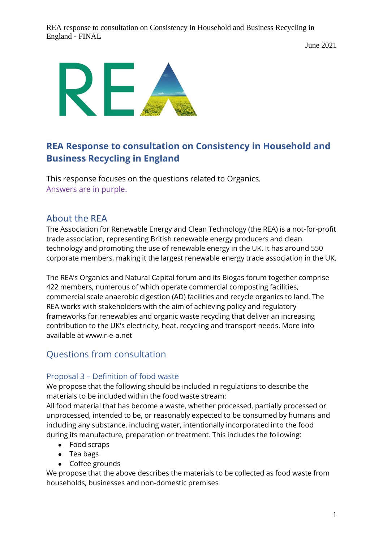June 2021



# **REA Response to consultation on Consistency in Household and Business Recycling in England**

This response focuses on the questions related to Organics. Answers are in purple.

# About the REA

The Association for Renewable Energy and Clean Technology (the REA) is a not-for-profit trade association, representing British renewable energy producers and clean technology and promoting the use of renewable energy in the UK. It has around 550 corporate members, making it the largest renewable energy trade association in the UK.

The REA's Organics and Natural Capital forum and its Biogas forum together comprise 422 members, numerous of which operate commercial composting facilities, commercial scale anaerobic digestion (AD) facilities and recycle organics to land. The REA works with stakeholders with the aim of achieving policy and regulatory frameworks for renewables and organic waste recycling that deliver an increasing contribution to the UK's electricity, heat, recycling and transport needs. More info available at www.r-e-a.net

# Questions from consultation

# Proposal 3 – Definition of food waste

We propose that the following should be included in regulations to describe the materials to be included within the food waste stream:

All food material that has become a waste, whether processed, partially processed or unprocessed, intended to be, or reasonably expected to be consumed by humans and including any substance, including water, intentionally incorporated into the food during its manufacture, preparation or treatment. This includes the following:

- Food scraps
- Tea bags
- Coffee grounds

We propose that the above describes the materials to be collected as food waste from households, businesses and non-domestic premises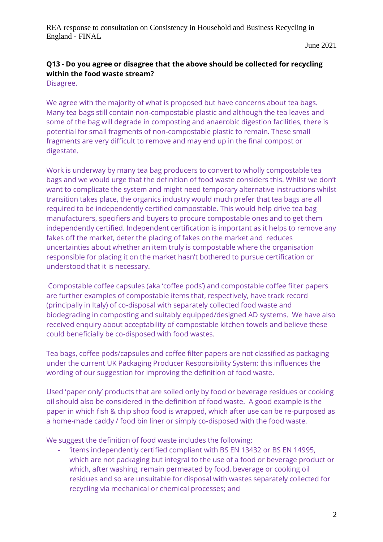June 2021

# **Q13** - **Do you agree or disagree that the above should be collected for recycling within the food waste stream?**

Disagree.

We agree with the majority of what is proposed but have concerns about tea bags. Many tea bags still contain non-compostable plastic and although the tea leaves and some of the bag will degrade in composting and anaerobic digestion facilities, there is potential for small fragments of non-compostable plastic to remain. These small fragments are very difficult to remove and may end up in the final compost or digestate.

Work is underway by many tea bag producers to convert to wholly compostable tea bags and we would urge that the definition of food waste considers this. Whilst we don't want to complicate the system and might need temporary alternative instructions whilst transition takes place, the organics industry would much prefer that tea bags are all required to be independently certified compostable. This would help drive tea bag manufacturers, specifiers and buyers to procure compostable ones and to get them independently certified. Independent certification is important as it helps to remove any fakes off the market, deter the placing of fakes on the market and reduces uncertainties about whether an item truly is compostable where the organisation responsible for placing it on the market hasn't bothered to pursue certification or understood that it is necessary.

Compostable coffee capsules (aka 'coffee pods') and compostable coffee filter papers are further examples of compostable items that, respectively, have track record (principally in Italy) of co-disposal with separately collected food waste and biodegrading in composting and suitably equipped/designed AD systems. We have also received enquiry about acceptability of compostable kitchen towels and believe these could beneficially be co-disposed with food wastes.

Tea bags, coffee pods/capsules and coffee filter papers are not classified as packaging under the current UK Packaging Producer Responsibility System; this influences the wording of our suggestion for improving the definition of food waste.

Used 'paper only' products that are soiled only by food or beverage residues or cooking oil should also be considered in the definition of food waste. A good example is the paper in which fish & chip shop food is wrapped, which after use can be re-purposed as a home-made caddy / food bin liner or simply co-disposed with the food waste.

We suggest the definition of food waste includes the following:

'items independently certified compliant with BS EN 13432 or BS EN 14995, which are not packaging but integral to the use of a food or beverage product or which, after washing, remain permeated by food, beverage or cooking oil residues and so are unsuitable for disposal with wastes separately collected for recycling via mechanical or chemical processes; and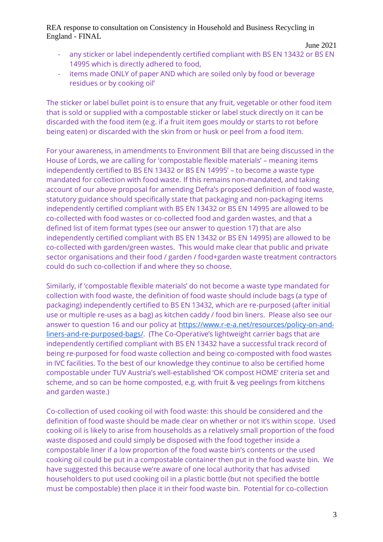- any sticker or label independently certified compliant with BS EN 13432 or BS EN 14995 which is directly adhered to food,
- items made ONLY of paper AND which are soiled only by food or beverage residues or by cooking oil'

The sticker or label bullet point is to ensure that any fruit, vegetable or other food item that is sold or supplied with a compostable sticker or label stuck directly on it can be discarded with the food item (e.g. if a fruit item goes mouldy or starts to rot before being eaten) or discarded with the skin from or husk or peel from a food item.

For your awareness, in amendments to Environment Bill that are being discussed in the House of Lords, we are calling for 'compostable flexible materials' – meaning items independently certified to BS EN 13432 or BS EN 14995' – to become a waste type mandated for collection with food waste. If this remains non-mandated, and taking account of our above proposal for amending Defra's proposed definition of food waste, statutory guidance should specifically state that packaging and non-packaging items independently certified compliant with BS EN 13432 or BS EN 14995 are allowed to be co-collected with food wastes or co-collected food and garden wastes, and that a defined list of item format types (see our answer to question 17) that are also independently certified compliant with BS EN 13432 or BS EN 14995) are allowed to be co-collected with garden/green wastes. This would make clear that public and private sector organisations and their food / garden / food+garden waste treatment contractors could do such co-collection if and where they so choose.

Similarly, if 'compostable flexible materials' do not become a waste type mandated for collection with food waste, the definition of food waste should include bags (a type of packaging) independently certified to BS EN 13432, which are re-purposed (after initial use or multiple re-uses as a bag) as kitchen caddy / food bin liners. Please also see our answer to question 16 and our policy at [https://www.r-e-a.net/resources/policy-on-and](https://www.r-e-a.net/resources/policy-on-and-liners-and-re-purposed-bags/)[liners-and-re-purposed-bags/.](https://www.r-e-a.net/resources/policy-on-and-liners-and-re-purposed-bags/) (The Co-Operative's lightweight carrier bags that are independently certified compliant with BS EN 13432 have a successful track record of being re-purposed for food waste collection and being co-composted with food wastes in IVC facilities. To the best of our knowledge they continue to also be certified home compostable under TUV Austria's well-established 'OK compost HOME' criteria set and scheme, and so can be home composted, e.g. with fruit & veg peelings from kitchens and garden waste.)

Co-collection of used cooking oil with food waste: this should be considered and the definition of food waste should be made clear on whether or not it's within scope. Used cooking oil is likely to arise from households as a relatively small proportion of the food waste disposed and could simply be disposed with the food together inside a compostable liner if a low proportion of the food waste bin's contents or the used cooking oil could be put in a compostable container then put in the food waste bin. We have suggested this because we're aware of one local authority that has advised householders to put used cooking oil in a plastic bottle (but not specified the bottle must be compostable) then place it in their food waste bin. Potential for co-collection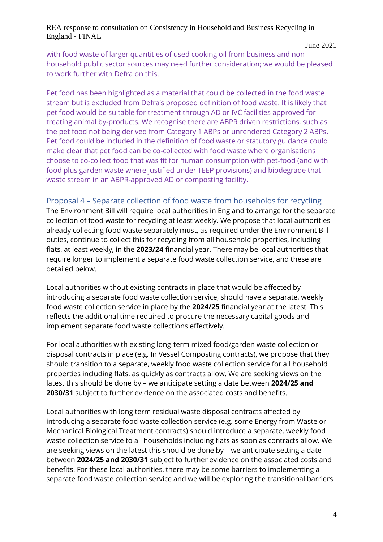June 2021

with food waste of larger quantities of used cooking oil from business and nonhousehold public sector sources may need further consideration; we would be pleased to work further with Defra on this.

Pet food has been highlighted as a material that could be collected in the food waste stream but is excluded from Defra's proposed definition of food waste. It is likely that pet food would be suitable for treatment through AD or IVC facilities approved for treating animal by-products. We recognise there are ABPR driven restrictions, such as the pet food not being derived from Category 1 ABPs or unrendered Category 2 ABPs. Pet food could be included in the definition of food waste or statutory guidance could make clear that pet food can be co-collected with food waste where organisations choose to co-collect food that was fit for human consumption with pet-food (and with food plus garden waste where justified under TEEP provisions) and biodegrade that waste stream in an ABPR-approved AD or composting facility.

# Proposal 4 – Separate collection of food waste from households for recycling

The Environment Bill will require local authorities in England to arrange for the separate collection of food waste for recycling at least weekly. We propose that local authorities already collecting food waste separately must, as required under the Environment Bill duties, continue to collect this for recycling from all household properties, including flats, at least weekly, in the **2023/24** financial year. There may be local authorities that require longer to implement a separate food waste collection service, and these are detailed below.

Local authorities without existing contracts in place that would be affected by introducing a separate food waste collection service, should have a separate, weekly food waste collection service in place by the **2024/25** financial year at the latest. This reflects the additional time required to procure the necessary capital goods and implement separate food waste collections effectively.

For local authorities with existing long-term mixed food/garden waste collection or disposal contracts in place (e.g. In Vessel Composting contracts), we propose that they should transition to a separate, weekly food waste collection service for all household properties including flats, as quickly as contracts allow. We are seeking views on the latest this should be done by – we anticipate setting a date between **2024/25 and 2030/31** subject to further evidence on the associated costs and benefits.

Local authorities with long term residual waste disposal contracts affected by introducing a separate food waste collection service (e.g. some Energy from Waste or Mechanical Biological Treatment contracts) should introduce a separate, weekly food waste collection service to all households including flats as soon as contracts allow. We are seeking views on the latest this should be done by – we anticipate setting a date between **2024/25 and 2030/31** subject to further evidence on the associated costs and benefits. For these local authorities, there may be some barriers to implementing a separate food waste collection service and we will be exploring the transitional barriers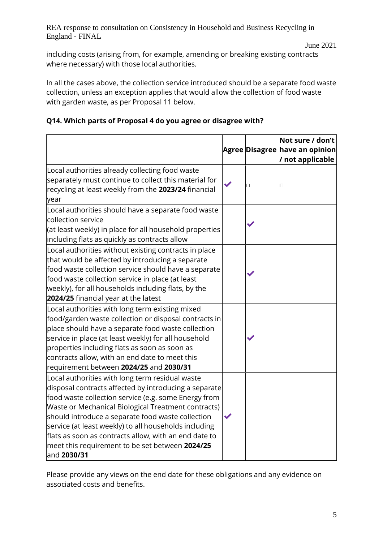including costs (arising from, for example, amending or breaking existing contracts where necessary) with those local authorities.

In all the cases above, the collection service introduced should be a separate food waste collection, unless an exception applies that would allow the collection of food waste with garden waste, as per Proposal 11 below.

# **Q14. Which parts of Proposal 4 do you agree or disagree with?**

|                                                                                                                                                                                                                                                                                                                                                                                                                                                                  |   | Not sure / don't<br>Agree Disagree have an opinion<br>/ not applicable |
|------------------------------------------------------------------------------------------------------------------------------------------------------------------------------------------------------------------------------------------------------------------------------------------------------------------------------------------------------------------------------------------------------------------------------------------------------------------|---|------------------------------------------------------------------------|
| Local authorities already collecting food waste<br>separately must continue to collect this material for<br>recycling at least weekly from the 2023/24 financial<br>year                                                                                                                                                                                                                                                                                         | П | $\Box$                                                                 |
| Local authorities should have a separate food waste<br>collection service<br>(at least weekly) in place for all household properties<br>including flats as quickly as contracts allow                                                                                                                                                                                                                                                                            |   |                                                                        |
| Local authorities without existing contracts in place<br>that would be affected by introducing a separate<br>food waste collection service should have a separate<br>food waste collection service in place (at least<br>weekly), for all households including flats, by the<br>2024/25 financial year at the latest                                                                                                                                             |   |                                                                        |
| Local authorities with long term existing mixed<br>food/garden waste collection or disposal contracts in<br>place should have a separate food waste collection<br>service in place (at least weekly) for all household<br>properties including flats as soon as soon as<br>contracts allow, with an end date to meet this<br>requirement between 2024/25 and 2030/31                                                                                             |   |                                                                        |
| Local authorities with long term residual waste<br>disposal contracts affected by introducing a separate<br>food waste collection service (e.g. some Energy from<br>Waste or Mechanical Biological Treatment contracts)<br>should introduce a separate food waste collection<br>service (at least weekly) to all households including<br>flats as soon as contracts allow, with an end date to<br>meet this requirement to be set between 2024/25<br>and 2030/31 |   |                                                                        |

Please provide any views on the end date for these obligations and any evidence on associated costs and benefits.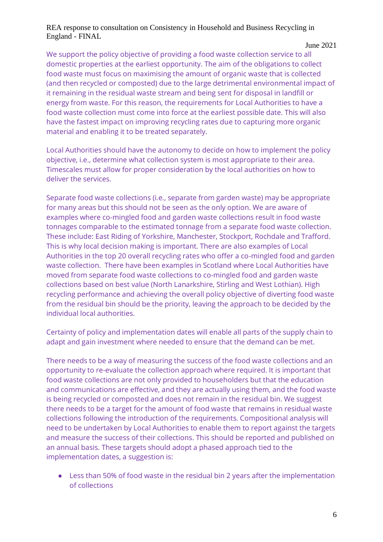#### June 2021

We support the policy objective of providing a food waste collection service to all domestic properties at the earliest opportunity. The aim of the obligations to collect food waste must focus on maximising the amount of organic waste that is collected (and then recycled or composted) due to the large detrimental environmental impact of it remaining in the residual waste stream and being sent for disposal in landfill or energy from waste. For this reason, the requirements for Local Authorities to have a food waste collection must come into force at the earliest possible date. This will also have the fastest impact on improving recycling rates due to capturing more organic material and enabling it to be treated separately.

Local Authorities should have the autonomy to decide on how to implement the policy objective, i.e., determine what collection system is most appropriate to their area. Timescales must allow for proper consideration by the local authorities on how to deliver the services.

Separate food waste collections (i.e., separate from garden waste) may be appropriate for many areas but this should not be seen as the only option. We are aware of examples where co-mingled food and garden waste collections result in food waste tonnages comparable to the estimated tonnage from a separate food waste collection. These include: East Riding of Yorkshire, Manchester, Stockport, Rochdale and Trafford. This is why local decision making is important. There are also examples of Local Authorities in the top 20 overall recycling rates who offer a co-mingled food and garden waste collection. There have been examples in Scotland where Local Authorities have moved from separate food waste collections to co-mingled food and garden waste collections based on best value (North Lanarkshire, Stirling and West Lothian). High recycling performance and achieving the overall policy objective of diverting food waste from the residual bin should be the priority, leaving the approach to be decided by the individual local authorities.

Certainty of policy and implementation dates will enable all parts of the supply chain to adapt and gain investment where needed to ensure that the demand can be met.

There needs to be a way of measuring the success of the food waste collections and an opportunity to re-evaluate the collection approach where required. It is important that food waste collections are not only provided to householders but that the education and communications are effective, and they are actually using them, and the food waste is being recycled or composted and does not remain in the residual bin. We suggest there needs to be a target for the amount of food waste that remains in residual waste collections following the introduction of the requirements. Compositional analysis will need to be undertaken by Local Authorities to enable them to report against the targets and measure the success of their collections. This should be reported and published on an annual basis. These targets should adopt a phased approach tied to the implementation dates, a suggestion is:

● Less than 50% of food waste in the residual bin 2 years after the implementation of collections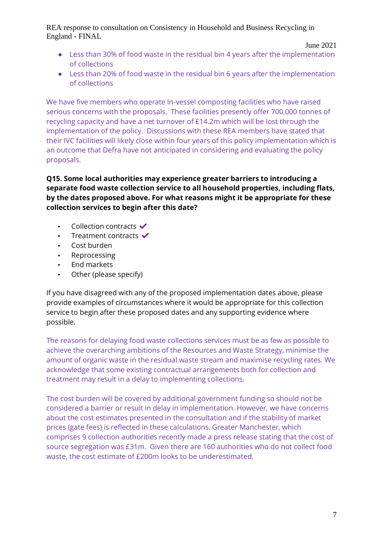June 2021

- Less than 30% of food waste in the residual bin 4 years after the implementation of collections
- Less than 20% of food waste in the residual bin 6 years after the implementation of collections

We have five members who operate In-vessel composting facilities who have raised serious concerns with the proposals. These facilities presently offer 700,000 tonnes of recycling capacity and have a net turnover of £14.2m which will be lost through the implementation of the policy. Discussions with these REA members have stated that their IVC facilities will likely close within four years of this policy implementation which is an outcome that Defra have not anticipated in considering and evaluating the policy proposals.

### **Q15. Some local authorities may experience greater barriers to introducing a separate food waste collection service to all household properties, including flats, by the dates proposed above. For what reasons might it be appropriate for these collection services to begin after this date?**

- Collection contracts  $\blacktriangledown$
- **•** Treatment contracts  $\checkmark$
- Cost burden
- Reprocessing
- End markets
- Other (please specify)

If you have disagreed with any of the proposed implementation dates above, please provide examples of circumstances where it would be appropriate for this collection service to begin after these proposed dates and any supporting evidence where possible.

The reasons for delaying food waste collections services must be as few as possible to achieve the overarching ambitions of the Resources and Waste Strategy, minimise the amount of organic waste in the residual waste stream and maximise recycling rates. We acknowledge that some existing contractual arrangements both for collection and treatment may result in a delay to implementing collections.

The cost burden will be covered by additional government funding so should not be considered a barrier or result in delay in implementation. However, we have concerns about the cost estimates presented in the consultation and if the stability of market prices (gate fees) is reflected in these calculations. Greater Manchester, which comprises 9 collection authorities recently made a press release stating that the cost of source segregation was £31m. Given there are 160 authorities who do not collect food waste, the cost estimate of £200m looks to be underestimated.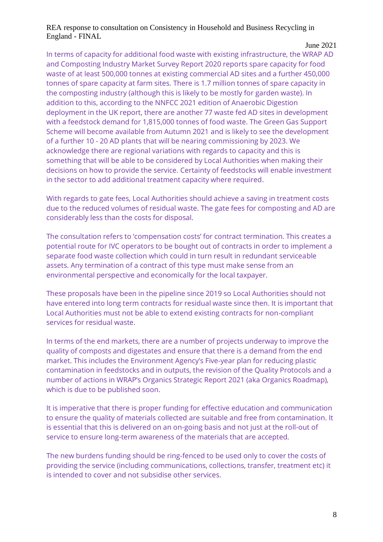#### June 2021

In terms of capacity for additional food waste with existing infrastructure, the WRAP AD and Composting Industry Market Survey Report 2020 reports spare capacity for food waste of at least 500,000 tonnes at existing commercial AD sites and a further 450,000 tonnes of spare capacity at farm sites. There is 1.7 million tonnes of spare capacity in the composting industry (although this is likely to be mostly for garden waste). In addition to this, according to the NNFCC 2021 edition of Anaerobic Digestion deployment in the UK report, there are another 77 waste fed AD sites in development with a feedstock demand for 1,815,000 tonnes of food waste. The Green Gas Support Scheme will become available from Autumn 2021 and is likely to see the development of a further 10 - 20 AD plants that will be nearing commissioning by 2023. We acknowledge there are regional variations with regards to capacity and this is something that will be able to be considered by Local Authorities when making their decisions on how to provide the service. Certainty of feedstocks will enable investment in the sector to add additional treatment capacity where required.

With regards to gate fees, Local Authorities should achieve a saving in treatment costs due to the reduced volumes of residual waste. The gate fees for composting and AD are considerably less than the costs for disposal.

The consultation refers to 'compensation costs' for contract termination. This creates a potential route for IVC operators to be bought out of contracts in order to implement a separate food waste collection which could in turn result in redundant serviceable assets. Any termination of a contract of this type must make sense from an environmental perspective and economically for the local taxpayer.

These proposals have been in the pipeline since 2019 so Local Authorities should not have entered into long term contracts for residual waste since then. It is important that Local Authorities must not be able to extend existing contracts for non-compliant services for residual waste.

In terms of the end markets, there are a number of projects underway to improve the quality of composts and digestates and ensure that there is a demand from the end market. This includes the Environment Agency's Five-year plan for reducing plastic contamination in feedstocks and in outputs, the revision of the Quality Protocols and a number of actions in WRAP's Organics Strategic Report 2021 (aka Organics Roadmap), which is due to be published soon.

It is imperative that there is proper funding for effective education and communication to ensure the quality of materials collected are suitable and free from contamination. It is essential that this is delivered on an on-going basis and not just at the roll-out of service to ensure long-term awareness of the materials that are accepted.

The new burdens funding should be ring-fenced to be used only to cover the costs of providing the service (including communications, collections, transfer, treatment etc) it is intended to cover and not subsidise other services.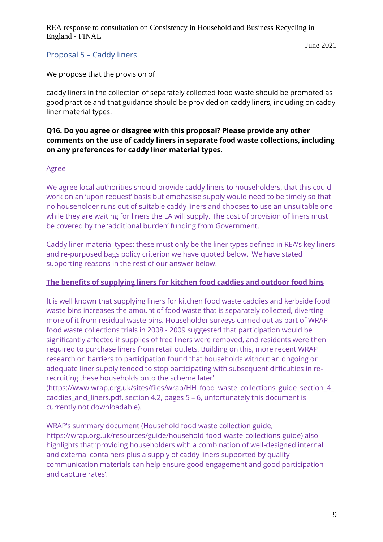June 2021

# Proposal 5 – Caddy liners

We propose that the provision of

caddy liners in the collection of separately collected food waste should be promoted as good practice and that guidance should be provided on caddy liners, including on caddy liner material types.

#### **Q16. Do you agree or disagree with this proposal? Please provide any other comments on the use of caddy liners in separate food waste collections, including on any preferences for caddy liner material types.**

#### Agree

We agree local authorities should provide caddy liners to householders, that this could work on an 'upon request' basis but emphasise supply would need to be timely so that no householder runs out of suitable caddy liners and chooses to use an unsuitable one while they are waiting for liners the LA will supply. The cost of provision of liners must be covered by the 'additional burden' funding from Government.

Caddy liner material types: these must only be the liner types defined in REA's key liners and re-purposed bags policy criterion we have quoted below. We have stated supporting reasons in the rest of our answer below.

#### **The benefits of supplying liners for kitchen food caddies and outdoor food bins**

It is well known that supplying liners for kitchen food waste caddies and kerbside food waste bins increases the amount of food waste that is separately collected, diverting more of it from residual waste bins. Householder surveys carried out as part of WRAP food waste collections trials in 2008 - 2009 suggested that participation would be significantly affected if supplies of free liners were removed, and residents were then required to purchase liners from retail outlets. Building on this, more recent WRAP research on barriers to participation found that households without an ongoing or adequate liner supply tended to stop participating with subsequent difficulties in rerecruiting these households onto the scheme later'

(https://www.wrap.org.uk/sites/files/wrap/HH\_food\_waste\_collections\_guide\_section\_4 [caddies\\_and\\_liners.pdf,](https://www.wrap.org.uk/sites/files/wrap/HH_food_waste_collections_guide_section_4_caddies_and_liners.pdf) section 4.2, pages 5 – 6, unfortunately this document is currently not downloadable).

WRAP's summary document (Household food waste collection guide, https://wrap.org.uk/resources/guide/household-food-waste-collections-guide) also highlights that 'providing householders with a combination of well-designed internal and external containers plus a supply of caddy liners supported by quality communication materials can help ensure good engagement and good participation and capture rates'.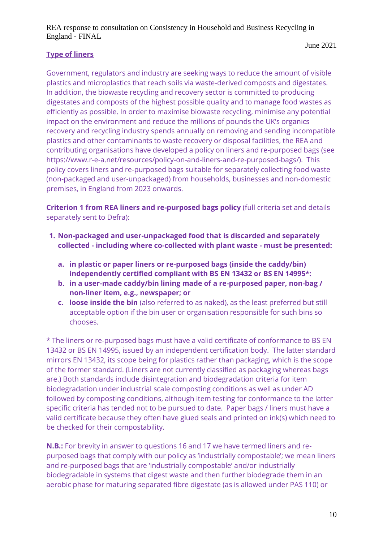# **Type of liners**

Government, regulators and industry are seeking ways to reduce the amount of visible plastics and microplastics that reach soils via waste-derived composts and digestates. In addition, the biowaste recycling and recovery sector is committed to producing digestates and composts of the highest possible quality and to manage food wastes as efficiently as possible. In order to maximise biowaste recycling, minimise any potential impact on the environment and reduce the millions of pounds the UK's organics recovery and recycling industry spends annually on removing and sending incompatible plastics and other contaminants to waste recovery or disposal facilities, the REA and contributing organisations have developed a policy on liners and re-purposed bags (see https://www.r-e-a.net/resources/policy-on-and-liners-and-re-purposed-bags/). This policy covers liners and re-purposed bags suitable for separately collecting food waste (non-packaged and user-unpackaged) from households, businesses and non-domestic premises, in England from 2023 onwards.

**Criterion 1 from REA liners and re-purposed bags policy** (full criteria set and details separately sent to Defra):

- **1. Non-packaged and user-unpackaged food that is discarded and separately collected - including where co-collected with plant waste - must be presented:**
	- **a. in plastic or paper liners or re-purposed bags (inside the caddy/bin) independently certified compliant with BS EN 13432 or BS EN 14995\*:**
	- **b. in a user-made caddy/bin lining made of a re-purposed paper, non-bag / non-liner item, e.g., newspaper; or**
	- **c. loose inside the bin** (also referred to as naked), as the least preferred but still acceptable option if the bin user or organisation responsible for such bins so chooses.

\* The liners or re-purposed bags must have a valid certificate of conformance to BS EN 13432 or BS EN 14995, issued by an independent certification body. The latter standard mirrors EN 13432, its scope being for plastics rather than packaging, which is the scope of the former standard. (Liners are not currently classified as packaging whereas bags are.) Both standards include disintegration and biodegradation criteria for item biodegradation under industrial scale composting conditions as well as under AD followed by composting conditions, although item testing for conformance to the latter specific criteria has tended not to be pursued to date. Paper bags / liners must have a valid certificate because they often have glued seals and printed on ink(s) which need to be checked for their compostability.

**N.B.:** For brevity in answer to questions 16 and 17 we have termed liners and repurposed bags that comply with our policy as 'industrially compostable'; we mean liners and re-purposed bags that are 'industrially compostable' and/or industrially biodegradable in systems that digest waste and then further biodegrade them in an aerobic phase for maturing separated fibre digestate (as is allowed under PAS 110) or

June 2021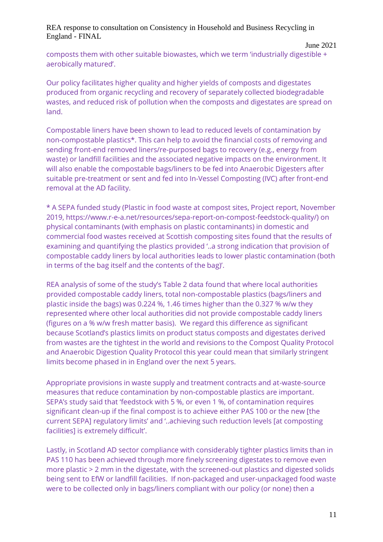composts them with other suitable biowastes, which we term 'industrially digestible + aerobically matured'.

Our policy facilitates higher quality and higher yields of composts and digestates produced from organic recycling and recovery of separately collected biodegradable wastes, and reduced risk of pollution when the composts and digestates are spread on land.

Compostable liners have been shown to lead to reduced levels of contamination by non-compostable plastics\*. This can help to avoid the financial costs of removing and sending front-end removed liners/re-purposed bags to recovery (e.g., energy from waste) or landfill facilities and the associated negative impacts on the environment. It will also enable the compostable bags/liners to be fed into Anaerobic Digesters after suitable pre-treatment or sent and fed into In-Vessel Composting (IVC) after front-end removal at the AD facility.

\* A SEPA funded study (Plastic in food waste at compost sites, Project report, November 2019, https://www.r-e-a.net/resources/sepa-report-on-compost-feedstock-quality/) on physical contaminants (with emphasis on plastic contaminants) in domestic and commercial food wastes received at Scottish composting sites found that the results of examining and quantifying the plastics provided '..a strong indication that provision of compostable caddy liners by local authorities leads to lower plastic contamination (both in terms of the bag itself and the contents of the bag)'.

REA analysis of some of the study's Table 2 data found that where local authorities provided compostable caddy liners, total non-compostable plastics (bags/liners and plastic inside the bags) was 0.224 %, 1.46 times higher than the 0.327 % w/w they represented where other local authorities did not provide compostable caddy liners (figures on a % w/w fresh matter basis). We regard this difference as significant because Scotland's plastics limits on product status composts and digestates derived from wastes are the tightest in the world and revisions to the Compost Quality Protocol and Anaerobic Digestion Quality Protocol this year could mean that similarly stringent limits become phased in in England over the next 5 years.

Appropriate provisions in waste supply and treatment contracts and at-waste-source measures that reduce contamination by non-compostable plastics are important. SEPA's study said that 'feedstock with 5 %, or even 1 %, of contamination requires significant clean-up if the final compost is to achieve either PAS 100 or the new [the current SEPA] regulatory limits' and '..achieving such reduction levels [at composting facilities] is extremely difficult'.

Lastly, in Scotland AD sector compliance with considerably tighter plastics limits than in PAS 110 has been achieved through more finely screening digestates to remove even more plastic > 2 mm in the digestate, with the screened-out plastics and digested solids being sent to EfW or landfill facilities. If non-packaged and user-unpackaged food waste were to be collected only in bags/liners compliant with our policy (or none) then a

June 2021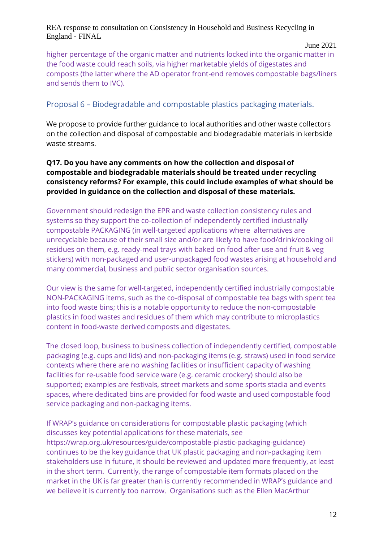June 2021

higher percentage of the organic matter and nutrients locked into the organic matter in the food waste could reach soils, via higher marketable yields of digestates and composts (the latter where the AD operator front-end removes compostable bags/liners and sends them to IVC).

# Proposal 6 – Biodegradable and compostable plastics packaging materials.

We propose to provide further guidance to local authorities and other waste collectors on the collection and disposal of compostable and biodegradable materials in kerbside waste streams.

#### **Q17. Do you have any comments on how the collection and disposal of compostable and biodegradable materials should be treated under recycling consistency reforms? For example, this could include examples of what should be provided in guidance on the collection and disposal of these materials.**

Government should redesign the EPR and waste collection consistency rules and systems so they support the co-collection of independently certified industrially compostable PACKAGING (in well-targeted applications where alternatives are unrecyclable because of their small size and/or are likely to have food/drink/cooking oil residues on them, e.g. ready-meal trays with baked on food after use and fruit & veg stickers) with non-packaged and user-unpackaged food wastes arising at household and many commercial, business and public sector organisation sources.

Our view is the same for well-targeted, independently certified industrially compostable NON-PACKAGING items, such as the co-disposal of compostable tea bags with spent tea into food waste bins; this is a notable opportunity to reduce the non-compostable plastics in food wastes and residues of them which may contribute to microplastics content in food-waste derived composts and digestates.

The closed loop, business to business collection of independently certified, compostable packaging (e.g. cups and lids) and non-packaging items (e.g. straws) used in food service contexts where there are no washing facilities or insufficient capacity of washing facilities for re-usable food service ware (e.g. ceramic crockery) should also be supported; examples are festivals, street markets and some sports stadia and events spaces, where dedicated bins are provided for food waste and used compostable food service packaging and non-packaging items.

If WRAP's guidance on considerations for compostable plastic packaging (which discusses key potential applications for these materials, see https://wrap.org.uk/resources/guide/compostable-plastic-packaging-guidance) continues to be the key guidance that UK plastic packaging and non-packaging item stakeholders use in future, it should be reviewed and updated more frequently, at least in the short term. Currently, the range of compostable item formats placed on the market in the UK is far greater than is currently recommended in WRAP's guidance and we believe it is currently too narrow. Organisations such as the Ellen MacArthur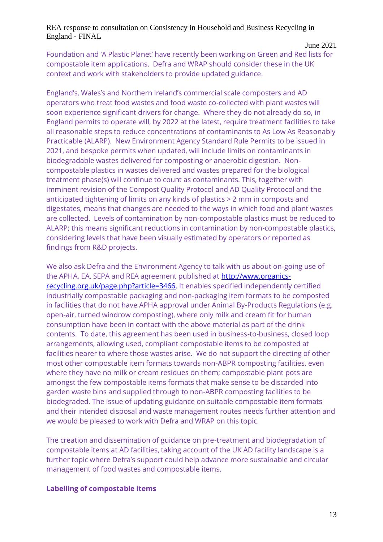Foundation and 'A Plastic Planet' have recently been working on Green and Red lists for compostable item applications. Defra and WRAP should consider these in the UK context and work with stakeholders to provide updated guidance.

England's, Wales's and Northern Ireland's commercial scale composters and AD operators who treat food wastes and food waste co-collected with plant wastes will soon experience significant drivers for change. Where they do not already do so, in England permits to operate will, by 2022 at the latest, require treatment facilities to take all reasonable steps to reduce concentrations of contaminants to As Low As Reasonably Practicable (ALARP). New Environment Agency Standard Rule Permits to be issued in 2021, and bespoke permits when updated, will include limits on contaminants in biodegradable wastes delivered for composting or anaerobic digestion. Noncompostable plastics in wastes delivered and wastes prepared for the biological treatment phase(s) will continue to count as contaminants. This, together with imminent revision of the Compost Quality Protocol and AD Quality Protocol and the anticipated tightening of limits on any kinds of plastics > 2 mm in composts and digestates, means that changes are needed to the ways in which food and plant wastes are collected. Levels of contamination by non-compostable plastics must be reduced to ALARP; this means significant reductions in contamination by non-compostable plastics, considering levels that have been visually estimated by operators or reported as findings from R&D projects.

We also ask Defra and the Environment Agency to talk with us about on-going use of the APHA, EA, SEPA and REA agreement published at [http://www.organics](http://www.organics-recycling.org.uk/page.php?article=3466)[recycling.org.uk/page.php?article=3466.](http://www.organics-recycling.org.uk/page.php?article=3466) It enables specified independently certified industrially compostable packaging and non-packaging item formats to be composted in facilities that do not have APHA approval under Animal By-Products Regulations (e.g. open-air, turned windrow composting), where only milk and cream fit for human consumption have been in contact with the above material as part of the drink contents. To date, this agreement has been used in business-to-business, closed loop arrangements, allowing used, compliant compostable items to be composted at facilities nearer to where those wastes arise. We do not support the directing of other most other compostable item formats towards non-ABPR composting facilities, even where they have no milk or cream residues on them; compostable plant pots are amongst the few compostable items formats that make sense to be discarded into garden waste bins and supplied through to non-ABPR composting facilities to be biodegraded. The issue of updating guidance on suitable compostable item formats and their intended disposal and waste management routes needs further attention and we would be pleased to work with Defra and WRAP on this topic.

The creation and dissemination of guidance on pre-treatment and biodegradation of compostable items at AD facilities, taking account of the UK AD facility landscape is a further topic where Defra's support could help advance more sustainable and circular management of food wastes and compostable items.

#### **Labelling of compostable items**

June 2021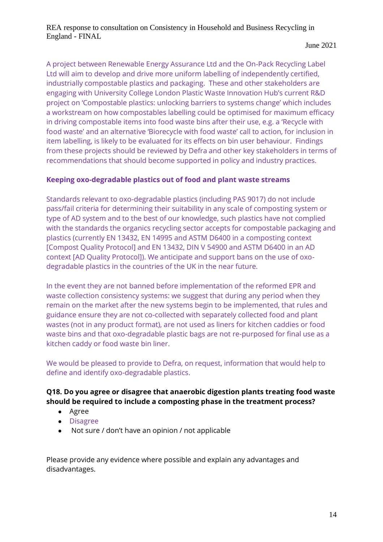#### June 2021

A project between Renewable Energy Assurance Ltd and the On-Pack Recycling Label Ltd will aim to develop and drive more uniform labelling of independently certified, industrially compostable plastics and packaging. These and other stakeholders are engaging with University College London Plastic Waste Innovation Hub's current R&D project on 'Compostable plastics: unlocking barriers to systems change' which includes a workstream on how compostables labelling could be optimised for maximum efficacy in driving compostable items into food waste bins after their use, e.g. a 'Recycle with food waste' and an alternative 'Biorecycle with food waste' call to action, for inclusion in item labelling, is likely to be evaluated for its effects on bin user behaviour. Findings from these projects should be reviewed by Defra and other key stakeholders in terms of recommendations that should become supported in policy and industry practices.

# **Keeping oxo-degradable plastics out of food and plant waste streams**

Standards relevant to oxo-degradable plastics (including PAS 9017) do not include pass/fail criteria for determining their suitability in any scale of composting system or type of AD system and to the best of our knowledge, such plastics have not complied with the standards the organics recycling sector accepts for compostable packaging and plastics (currently EN 13432, EN 14995 and ASTM D6400 in a composting context [Compost Quality Protocol] and EN 13432, DIN V 54900 and ASTM D6400 in an AD context [AD Quality Protocol]). We anticipate and support bans on the use of oxodegradable plastics in the countries of the UK in the near future.

In the event they are not banned before implementation of the reformed EPR and waste collection consistency systems: we suggest that during any period when they remain on the market after the new systems begin to be implemented, that rules and guidance ensure they are not co-collected with separately collected food and plant wastes (not in any product format), are not used as liners for kitchen caddies or food waste bins and that oxo-degradable plastic bags are not re-purposed for final use as a kitchen caddy or food waste bin liner.

We would be pleased to provide to Defra, on request, information that would help to define and identify oxo-degradable plastics.

#### **Q18. Do you agree or disagree that anaerobic digestion plants treating food waste should be required to include a composting phase in the treatment process?**

- Agree
- Disagree
- Not sure / don't have an opinion / not applicable

Please provide any evidence where possible and explain any advantages and disadvantages.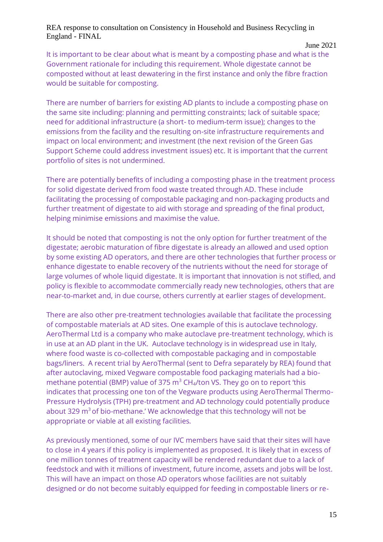#### June 2021

It is important to be clear about what is meant by a composting phase and what is the Government rationale for including this requirement. Whole digestate cannot be composted without at least dewatering in the first instance and only the fibre fraction would be suitable for composting.

There are number of barriers for existing AD plants to include a composting phase on the same site including: planning and permitting constraints; lack of suitable space; need for additional infrastructure (a short- to medium-term issue); changes to the emissions from the facility and the resulting on-site infrastructure requirements and impact on local environment; and investment (the next revision of the Green Gas Support Scheme could address investment issues) etc. It is important that the current portfolio of sites is not undermined.

There are potentially benefits of including a composting phase in the treatment process for solid digestate derived from food waste treated through AD. These include facilitating the processing of compostable packaging and non-packaging products and further treatment of digestate to aid with storage and spreading of the final product, helping minimise emissions and maximise the value.

It should be noted that composting is not the only option for further treatment of the digestate; aerobic maturation of fibre digestate is already an allowed and used option by some existing AD operators, and there are other technologies that further process or enhance digestate to enable recovery of the nutrients without the need for storage of large volumes of whole liquid digestate. It is important that innovation is not stifled, and policy is flexible to accommodate commercially ready new technologies, others that are near-to-market and, in due course, others currently at earlier stages of development.

There are also other pre-treatment technologies available that facilitate the processing of compostable materials at AD sites. One example of this is autoclave technology. AeroThermal Ltd is a company who make autoclave pre-treatment technology, which is in use at an AD plant in the UK. Autoclave technology is in widespread use in Italy, where food waste is co-collected with compostable packaging and in compostable bags/liners. A recent trial by AeroThermal (sent to Defra separately by REA) found that after autoclaving, mixed Vegware compostable food packaging materials had a biomethane potential (BMP) value of 375  $\text{m}^3$  CH<sub>4</sub>/ton VS. They go on to report 'this indicates that processing one ton of the Vegware products using AeroThermal Thermo-Pressure Hydrolysis (TPH) pre-treatment and AD technology could potentially produce about 329  $m<sup>3</sup>$  of bio-methane.' We acknowledge that this technology will not be appropriate or viable at all existing facilities.

As previously mentioned, some of our IVC members have said that their sites will have to close in 4 years if this policy is implemented as proposed. It is likely that in excess of one million tonnes of treatment capacity will be rendered redundant due to a lack of feedstock and with it millions of investment, future income, assets and jobs will be lost. This will have an impact on those AD operators whose facilities are not suitably designed or do not become suitably equipped for feeding in compostable liners or re-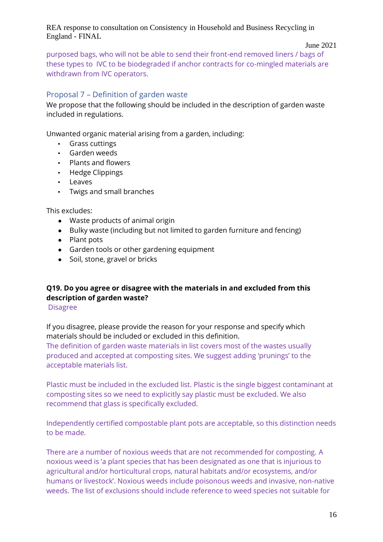#### June 2021

purposed bags, who will not be able to send their front-end removed liners / bags of these types to IVC to be biodegraded if anchor contracts for co-mingled materials are withdrawn from IVC operators.

# Proposal 7 – Definition of garden waste

We propose that the following should be included in the description of garden waste included in regulations.

Unwanted organic material arising from a garden, including:

- Grass cuttings
- Garden weeds
- Plants and flowers
- Hedge Clippings
- Leaves
- Twigs and small branches

This excludes:

- Waste products of animal origin
- Bulky waste (including but not limited to garden furniture and fencing)
- Plant pots
- Garden tools or other gardening equipment
- Soil, stone, gravel or bricks

# **Q19. Do you agree or disagree with the materials in and excluded from this description of garden waste?**

Disagree

If you disagree, please provide the reason for your response and specify which materials should be included or excluded in this definition.

The definition of garden waste materials in list covers most of the wastes usually produced and accepted at composting sites. We suggest adding 'prunings' to the acceptable materials list.

Plastic must be included in the excluded list. Plastic is the single biggest contaminant at composting sites so we need to explicitly say plastic must be excluded. We also recommend that glass is specifically excluded.

Independently certified compostable plant pots are acceptable, so this distinction needs to be made.

There are a number of noxious weeds that are not recommended for composting. A noxious weed is 'a plant species that has been designated as one that is injurious to agricultural and/or horticultural crops, natural habitats and/or ecosystems, and/or humans or livestock'. Noxious weeds include poisonous weeds and invasive, non-native weeds. The list of exclusions should include reference to weed species not suitable for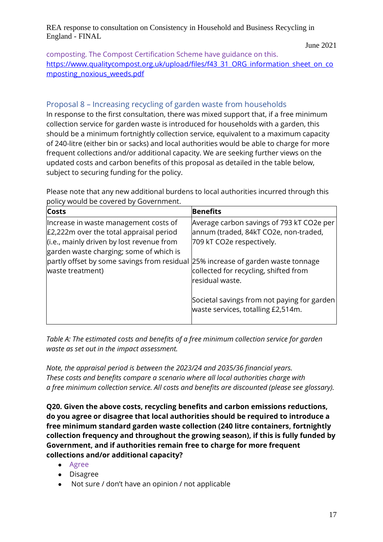June 2021

composting. The Compost Certification Scheme have guidance on this. [https://www.qualitycompost.org.uk/upload/files/f43\\_31\\_ORG\\_information\\_sheet\\_on\\_co](https://www.qualitycompost.org.uk/upload/files/f43_31_ORG_information_sheet_on_composting_noxious_weeds.pdf) [mposting\\_noxious\\_weeds.pdf](https://www.qualitycompost.org.uk/upload/files/f43_31_ORG_information_sheet_on_composting_noxious_weeds.pdf)

# Proposal 8 – Increasing recycling of garden waste from households

In response to the first consultation, there was mixed support that, if a free minimum collection service for garden waste is introduced for households with a garden, this should be a minimum fortnightly collection service, equivalent to a maximum capacity of 240-litre (either bin or sacks) and local authorities would be able to charge for more frequent collections and/or additional capacity. We are seeking further views on the updated costs and carbon benefits of this proposal as detailed in the table below, subject to securing funding for the policy.

Please note that any new additional burdens to local authorities incurred through this policy would be covered by Government.

| <b>Costs</b>                                                                                                                                                                                                                                                                        | <b>Benefits</b>                                                                                                                                                             |
|-------------------------------------------------------------------------------------------------------------------------------------------------------------------------------------------------------------------------------------------------------------------------------------|-----------------------------------------------------------------------------------------------------------------------------------------------------------------------------|
| Increase in waste management costs of<br>$E2,222$ m over the total appraisal period<br>(i.e., mainly driven by lost revenue from<br>garden waste charging; some of which is<br>partly offset by some savings from residual 25% increase of garden waste tonnage<br>waste treatment) | Average carbon savings of 793 kT CO2e per<br>annum (traded, 84kT CO2e, non-traded,<br>709 kT CO2e respectively.<br>collected for recycling, shifted from<br>residual waste. |
|                                                                                                                                                                                                                                                                                     | Societal savings from not paying for garden<br>waste services, totalling £2,514m.                                                                                           |

*Table A: The estimated costs and benefits of a free minimum collection service for garden waste as set out in the impact assessment.* 

*Note, the appraisal period is between the 2023/24 and 2035/36 financial years. These costs and benefits compare a scenario where all local authorities charge with a free minimum collection service. All costs and benefits are discounted (please see glossary).* 

**Q20. Given the above costs, recycling benefits and carbon emissions reductions, do you agree or disagree that local authorities should be required to introduce a free minimum standard garden waste collection (240 litre containers, fortnightly collection frequency and throughout the growing season), if this is fully funded by Government, and if authorities remain free to charge for more frequent collections and/or additional capacity?** 

- Agree
- Disagree
- Not sure / don't have an opinion / not applicable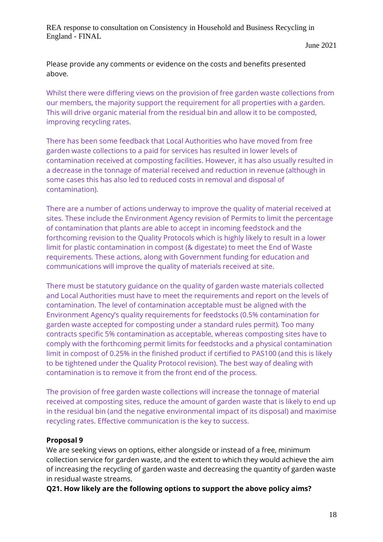June 2021

Please provide any comments or evidence on the costs and benefits presented above.

Whilst there were differing views on the provision of free garden waste collections from our members, the majority support the requirement for all properties with a garden. This will drive organic material from the residual bin and allow it to be composted, improving recycling rates.

There has been some feedback that Local Authorities who have moved from free garden waste collections to a paid for services has resulted in lower levels of contamination received at composting facilities. However, it has also usually resulted in a decrease in the tonnage of material received and reduction in revenue (although in some cases this has also led to reduced costs in removal and disposal of contamination).

There are a number of actions underway to improve the quality of material received at sites. These include the Environment Agency revision of Permits to limit the percentage of contamination that plants are able to accept in incoming feedstock and the forthcoming revision to the Quality Protocols which is highly likely to result in a lower limit for plastic contamination in compost (& digestate) to meet the End of Waste requirements. These actions, along with Government funding for education and communications will improve the quality of materials received at site.

There must be statutory guidance on the quality of garden waste materials collected and Local Authorities must have to meet the requirements and report on the levels of contamination. The level of contamination acceptable must be aligned with the Environment Agency's quality requirements for feedstocks (0.5% contamination for garden waste accepted for composting under a standard rules permit). Too many contracts specific 5% contamination as acceptable, whereas composting sites have to comply with the forthcoming permit limits for feedstocks and a physical contamination limit in compost of 0.25% in the finished product if certified to PAS100 (and this is likely to be tightened under the Quality Protocol revision). The best way of dealing with contamination is to remove it from the front end of the process.

The provision of free garden waste collections will increase the tonnage of material received at composting sites, reduce the amount of garden waste that is likely to end up in the residual bin (and the negative environmental impact of its disposal) and maximise recycling rates. Effective communication is the key to success.

#### **Proposal 9**

We are seeking views on options, either alongside or instead of a free, minimum collection service for garden waste, and the extent to which they would achieve the aim of increasing the recycling of garden waste and decreasing the quantity of garden waste in residual waste streams.

**Q21. How likely are the following options to support the above policy aims?**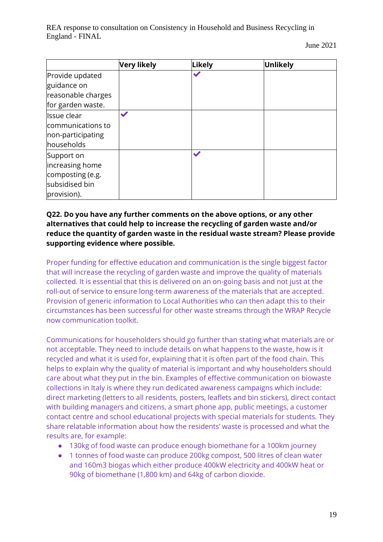June 2021

|                                                                                    | Very likely  | Likely                     | Unlikely |
|------------------------------------------------------------------------------------|--------------|----------------------------|----------|
| Provide updated<br>guidance on<br>reasonable charges<br>for garden waste.          |              |                            |          |
| Issue clear<br>communications to<br>non-participating<br>households                | $\checkmark$ |                            |          |
| Support on<br>increasing home<br>composting (e.g.<br>subsidised bin<br>provision). |              | $\boldsymbol{\mathscr{S}}$ |          |

### **Q22. Do you have any further comments on the above options, or any other alternatives that could help to increase the recycling of garden waste and/or reduce the quantity of garden waste in the residual waste stream? Please provide supporting evidence where possible.**

Proper funding for effective education and communication is the single biggest factor that will increase the recycling of garden waste and improve the quality of materials collected. It is essential that this is delivered on an on-going basis and not just at the roll-out of service to ensure long-term awareness of the materials that are accepted. Provision of generic information to Local Authorities who can then adapt this to their circumstances has been successful for other waste streams through the WRAP Recycle now communication toolkit.

Communications for householders should go further than stating what materials are or not acceptable. They need to include details on what happens to the waste, how is it recycled and what it is used for, explaining that it is often part of the food chain. This helps to explain why the quality of material is important and why householders should care about what they put in the bin. Examples of effective communication on biowaste collections in Italy is where they run dedicated awareness campaigns which include: direct marketing (letters to all residents, posters, leaflets and bin stickers), direct contact with building managers and citizens, a smart phone app, public meetings, a customer contact centre and school educational projects with special materials for students. They share relatable information about how the residents' waste is processed and what the results are, for example:

- 130kg of food waste can produce enough biomethane for a 100km journey
- 1 tonnes of food waste can produce 200kg compost, 500 litres of clean water and 160m3 biogas which either produce 400kW electricity and 400kW heat or 90kg of biomethane (1,800 km) and 64kg of carbon dioxide.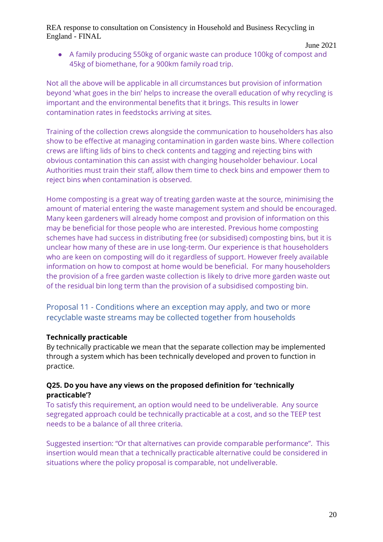● A family producing 550kg of organic waste can produce 100kg of compost and 45kg of biomethane, for a 900km family road trip.

Not all the above will be applicable in all circumstances but provision of information beyond 'what goes in the bin' helps to increase the overall education of why recycling is important and the environmental benefits that it brings. This results in lower contamination rates in feedstocks arriving at sites.

Training of the collection crews alongside the communication to householders has also show to be effective at managing contamination in garden waste bins. Where collection crews are lifting lids of bins to check contents and tagging and rejecting bins with obvious contamination this can assist with changing householder behaviour. Local Authorities must train their staff, allow them time to check bins and empower them to reject bins when contamination is observed.

Home composting is a great way of treating garden waste at the source, minimising the amount of material entering the waste management system and should be encouraged. Many keen gardeners will already home compost and provision of information on this may be beneficial for those people who are interested. Previous home composting schemes have had success in distributing free (or subsidised) composting bins, but it is unclear how many of these are in use long-term. Our experience is that householders who are keen on composting will do it regardless of support. However freely available information on how to compost at home would be beneficial. For many householders the provision of a free garden waste collection is likely to drive more garden waste out of the residual bin long term than the provision of a subsidised composting bin.

Proposal 11 - Conditions where an exception may apply, and two or more recyclable waste streams may be collected together from households

#### **Technically practicable**

By technically practicable we mean that the separate collection may be implemented through a system which has been technically developed and proven to function in practice.

#### **Q25. Do you have any views on the proposed definition for 'technically practicable'?**

To satisfy this requirement, an option would need to be undeliverable. Any source segregated approach could be technically practicable at a cost, and so the TEEP test needs to be a balance of all three criteria.

Suggested insertion: "Or that alternatives can provide comparable performance". This insertion would mean that a technically practicable alternative could be considered in situations where the policy proposal is comparable, not undeliverable.

June 2021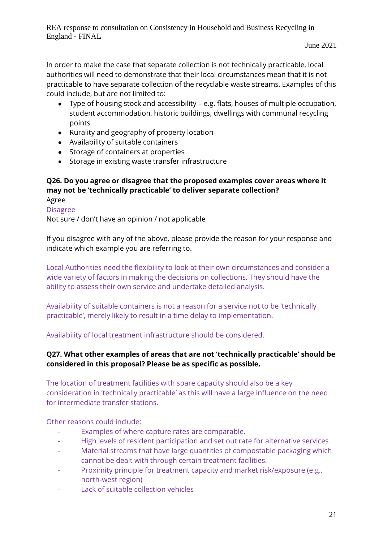In order to make the case that separate collection is not technically practicable, local authorities will need to demonstrate that their local circumstances mean that it is not practicable to have separate collection of the recyclable waste streams. Examples of this could include, but are not limited to:

- Type of housing stock and accessibility e.g. flats, houses of multiple occupation, student accommodation, historic buildings, dwellings with communal recycling points
- Rurality and geography of property location
- Availability of suitable containers
- Storage of containers at properties
- Storage in existing waste transfer infrastructure

#### **Q26. Do you agree or disagree that the proposed examples cover areas where it may not be 'technically practicable' to deliver separate collection?**  Agree

Disagree

Not sure / don't have an opinion / not applicable

If you disagree with any of the above, please provide the reason for your response and indicate which example you are referring to.

Local Authorities need the flexibility to look at their own circumstances and consider a wide variety of factors in making the decisions on collections. They should have the ability to assess their own service and undertake detailed analysis.

Availability of suitable containers is not a reason for a service not to be 'technically practicable', merely likely to result in a time delay to implementation.

Availability of local treatment infrastructure should be considered.

#### **Q27. What other examples of areas that are not 'technically practicable' should be considered in this proposal? Please be as specific as possible.**

The location of treatment facilities with spare capacity should also be a key consideration in 'technically practicable' as this will have a large influence on the need for intermediate transfer stations.

Other reasons could include:

- Examples of where capture rates are comparable.
- High levels of resident participation and set out rate for alternative services
- Material streams that have large quantities of compostable packaging which cannot be dealt with through certain treatment facilities.
- Proximity principle for treatment capacity and market risk/exposure (e.g., north-west region)
- Lack of suitable collection vehicles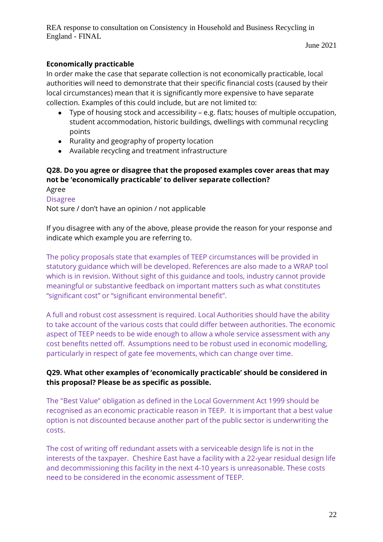# **Economically practicable**

In order make the case that separate collection is not economically practicable, local authorities will need to demonstrate that their specific financial costs (caused by their local circumstances) mean that it is significantly more expensive to have separate collection. Examples of this could include, but are not limited to:

- Type of housing stock and accessibility e.g. flats; houses of multiple occupation, student accommodation, historic buildings, dwellings with communal recycling points
- Rurality and geography of property location
- Available recycling and treatment infrastructure

# **Q28. Do you agree or disagree that the proposed examples cover areas that may not be 'economically practicable' to deliver separate collection?**

Agree Disagree Not sure / don't have an opinion / not applicable

If you disagree with any of the above, please provide the reason for your response and indicate which example you are referring to.

The policy proposals state that examples of TEEP circumstances will be provided in statutory guidance which will be developed. References are also made to a WRAP tool which is in revision. Without sight of this guidance and tools, industry cannot provide meaningful or substantive feedback on important matters such as what constitutes "significant cost" or "significant environmental benefit".

A full and robust cost assessment is required. Local Authorities should have the ability to take account of the various costs that could differ between authorities. The economic aspect of TEEP needs to be wide enough to allow a whole service assessment with any cost benefits netted off. Assumptions need to be robust used in economic modelling, particularly in respect of gate fee movements, which can change over time.

#### **Q29. What other examples of 'economically practicable' should be considered in this proposal? Please be as specific as possible.**

The "Best Value" obligation as defined in the Local Government Act 1999 should be recognised as an economic practicable reason in TEEP. It is important that a best value option is not discounted because another part of the public sector is underwriting the costs.

The cost of writing off redundant assets with a serviceable design life is not in the interests of the taxpayer. Cheshire East have a facility with a 22-year residual design life and decommissioning this facility in the next 4-10 years is unreasonable. These costs need to be considered in the economic assessment of TEEP.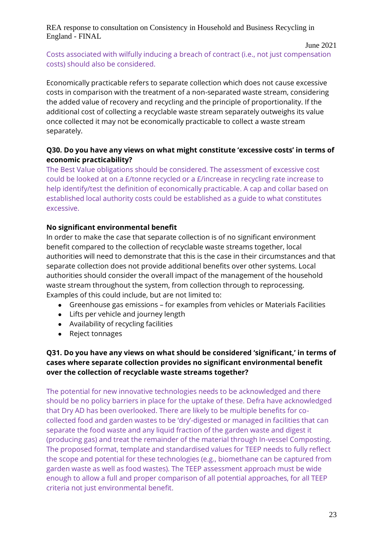#### June 2021

Costs associated with wilfully inducing a breach of contract (i.e., not just compensation costs) should also be considered.

Economically practicable refers to separate collection which does not cause excessive costs in comparison with the treatment of a non-separated waste stream, considering the added value of recovery and recycling and the principle of proportionality. If the additional cost of collecting a recyclable waste stream separately outweighs its value once collected it may not be economically practicable to collect a waste stream separately.

# **Q30. Do you have any views on what might constitute 'excessive costs' in terms of economic practicability?**

The Best Value obligations should be considered. The assessment of excessive cost could be looked at on a £/tonne recycled or a £/increase in recycling rate increase to help identify/test the definition of economically practicable. A cap and collar based on established local authority costs could be established as a guide to what constitutes excessive.

# **No significant environmental benefit**

In order to make the case that separate collection is of no significant environment benefit compared to the collection of recyclable waste streams together, local authorities will need to demonstrate that this is the case in their circumstances and that separate collection does not provide additional benefits over other systems. Local authorities should consider the overall impact of the management of the household waste stream throughout the system, from collection through to reprocessing. Examples of this could include, but are not limited to:

- Greenhouse gas emissions for examples from vehicles or Materials Facilities
- Lifts per vehicle and journey length
- Availability of recycling facilities
- Reject tonnages

# **Q31. Do you have any views on what should be considered 'significant,' in terms of cases where separate collection provides no significant environmental benefit over the collection of recyclable waste streams together?**

The potential for new innovative technologies needs to be acknowledged and there should be no policy barriers in place for the uptake of these. Defra have acknowledged that Dry AD has been overlooked. There are likely to be multiple benefits for cocollected food and garden wastes to be 'dry'-digested or managed in facilities that can separate the food waste and any liquid fraction of the garden waste and digest it (producing gas) and treat the remainder of the material through In-vessel Composting. The proposed format, template and standardised values for TEEP needs to fully reflect the scope and potential for these technologies (e.g., biomethane can be captured from garden waste as well as food wastes). The TEEP assessment approach must be wide enough to allow a full and proper comparison of all potential approaches, for all TEEP criteria not just environmental benefit.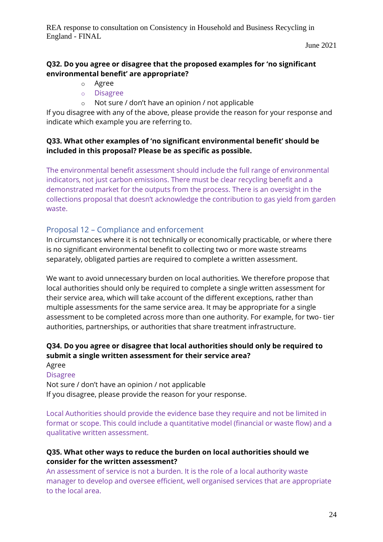June 2021

# **Q32. Do you agree or disagree that the proposed examples for 'no significant environmental benefit' are appropriate?**

- o Agree
- o Disagree
- o Not sure / don't have an opinion / not applicable

If you disagree with any of the above, please provide the reason for your response and indicate which example you are referring to.

#### **Q33. What other examples of 'no significant environmental benefit' should be included in this proposal? Please be as specific as possible.**

The environmental benefit assessment should include the full range of environmental indicators, not just carbon emissions. There must be clear recycling benefit and a demonstrated market for the outputs from the process. There is an oversight in the collections proposal that doesn't acknowledge the contribution to gas yield from garden waste.

# Proposal 12 – Compliance and enforcement

In circumstances where it is not technically or economically practicable, or where there is no significant environmental benefit to collecting two or more waste streams separately, obligated parties are required to complete a written assessment.

We want to avoid unnecessary burden on local authorities. We therefore propose that local authorities should only be required to complete a single written assessment for their service area, which will take account of the different exceptions, rather than multiple assessments for the same service area. It may be appropriate for a single assessment to be completed across more than one authority. For example, for two- tier authorities, partnerships, or authorities that share treatment infrastructure.

# **Q34. Do you agree or disagree that local authorities should only be required to submit a single written assessment for their service area?**

Agree Disagree Not sure / don't have an opinion / not applicable

If you disagree, please provide the reason for your response.

Local Authorities should provide the evidence base they require and not be limited in format or scope. This could include a quantitative model (financial or waste flow) and a qualitative written assessment.

#### **Q35. What other ways to reduce the burden on local authorities should we consider for the written assessment?**

An assessment of service is not a burden. It is the role of a local authority waste manager to develop and oversee efficient, well organised services that are appropriate to the local area.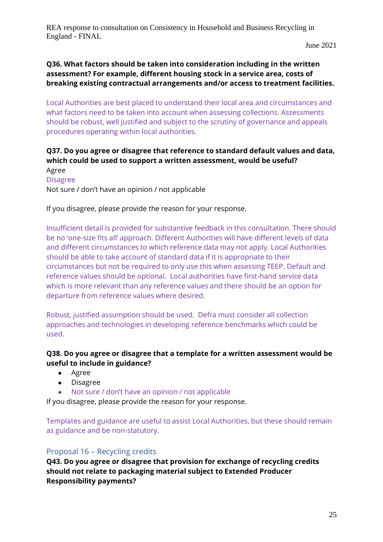### **Q36. What factors should be taken into consideration including in the written assessment? For example, different housing stock in a service area, costs of breaking existing contractual arrangements and/or access to treatment facilities.**

Local Authorities are best placed to understand their local area and circumstances and what factors need to be taken into account when assessing collections. Assessments should be robust, well justified and subject to the scrutiny of governance and appeals procedures operating within local authorities.

#### **Q37. Do you agree or disagree that reference to standard default values and data, which could be used to support a written assessment, would be useful?**  Agree

Disagree

Not sure / don't have an opinion / not applicable

If you disagree, please provide the reason for your response.

Insufficient detail is provided for substantive feedback in this consultation. There should be no 'one-size fits all' approach. Different Authorities will have different levels of data and different circumstances to which reference data may not apply. Local Authorities should be able to take account of standard data if it is appropriate to their circumstances but not be required to only use this when assessing TEEP. Default and reference values should be optional. Local authorities have first-hand service data which is more relevant than any reference values and there should be an option for departure from reference values where desired.

Robust, justified assumption should be used. Defra must consider all collection approaches and technologies in developing reference benchmarks which could be used.

#### **Q38. Do you agree or disagree that a template for a written assessment would be useful to include in guidance?**

- Agree
- Disagree
- Not sure / don't have an opinion / not applicable

If you disagree, please provide the reason for your response.

Templates and guidance are useful to assist Local Authorities, but these should remain as guidance and be non-statutory.

#### Proposal 16 – Recycling credits

**Q43. Do you agree or disagree that provision for exchange of recycling credits should not relate to packaging material subject to Extended Producer Responsibility payments?**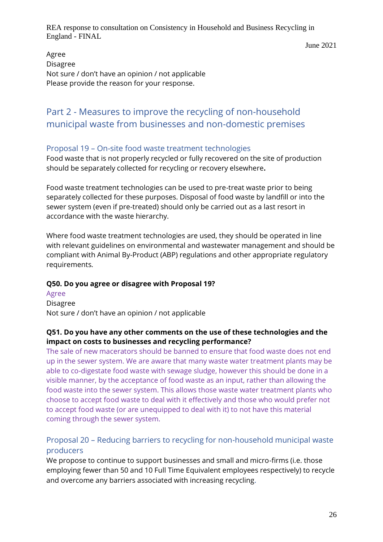June 2021

Agree Disagree Not sure / don't have an opinion / not applicable Please provide the reason for your response.

# Part 2 - Measures to improve the recycling of non-household municipal waste from businesses and non-domestic premises

# Proposal 19 – On-site food waste treatment technologies

Food waste that is not properly recycled or fully recovered on the site of production should be separately collected for recycling or recovery elsewhere**.** 

Food waste treatment technologies can be used to pre-treat waste prior to being separately collected for these purposes. Disposal of food waste by landfill or into the sewer system (even if pre-treated) should only be carried out as a last resort in accordance with the waste hierarchy.

Where food waste treatment technologies are used, they should be operated in line with relevant guidelines on environmental and wastewater management and should be compliant with Animal By-Product (ABP) regulations and other appropriate regulatory requirements.

#### **Q50. Do you agree or disagree with Proposal 19?**

Agree Disagree Not sure / don't have an opinion / not applicable

#### **Q51. Do you have any other comments on the use of these technologies and the impact on costs to businesses and recycling performance?**

The sale of new macerators should be banned to ensure that food waste does not end up in the sewer system. We are aware that many waste water treatment plants may be able to co-digestate food waste with sewage sludge, however this should be done in a visible manner, by the acceptance of food waste as an input, rather than allowing the food waste into the sewer system. This allows those waste water treatment plants who choose to accept food waste to deal with it effectively and those who would prefer not to accept food waste (or are unequipped to deal with it) to not have this material coming through the sewer system.

# Proposal 20 – Reducing barriers to recycling for non-household municipal waste producers

We propose to continue to support businesses and small and micro-firms (i.e. those employing fewer than 50 and 10 Full Time Equivalent employees respectively) to recycle and overcome any barriers associated with increasing recycling.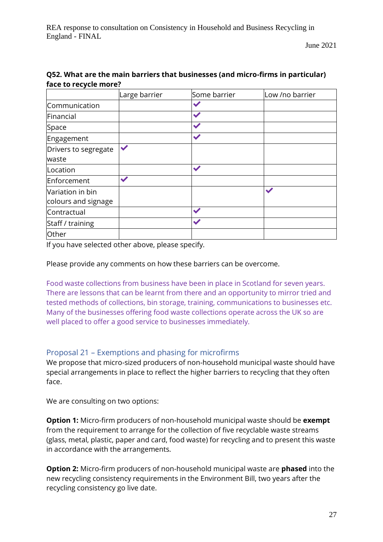June 2021

|                      | Large barrier | Some barrier | Low /no barrier |
|----------------------|---------------|--------------|-----------------|
| Communication        |               |              |                 |
| Financial            |               | $\checkmark$ |                 |
| Space                |               | $\checkmark$ |                 |
| Engagement           |               | $\checkmark$ |                 |
| Drivers to segregate | $\checkmark$  |              |                 |
| waste                |               |              |                 |
| Location             |               |              |                 |
| Enforcement          | ✔             |              |                 |
| Variation in bin     |               |              |                 |
| colours and signage  |               |              |                 |
| Contractual          |               | $\checkmark$ |                 |
| Staff / training     |               | $\checkmark$ |                 |
| Other                |               |              |                 |

# **Q52. What are the main barriers that businesses (and micro-firms in particular) face to recycle more?**

If you have selected other above, please specify.

Please provide any comments on how these barriers can be overcome.

Food waste collections from business have been in place in Scotland for seven years. There are lessons that can be learnt from there and an opportunity to mirror tried and tested methods of collections, bin storage, training, communications to businesses etc. Many of the businesses offering food waste collections operate across the UK so are well placed to offer a good service to businesses immediately.

# Proposal 21 – Exemptions and phasing for microfirms

We propose that micro-sized producers of non-household municipal waste should have special arrangements in place to reflect the higher barriers to recycling that they often face.

We are consulting on two options:

**Option 1:** Micro-firm producers of non-household municipal waste should be **exempt**  from the requirement to arrange for the collection of five recyclable waste streams (glass, metal, plastic, paper and card, food waste) for recycling and to present this waste in accordance with the arrangements.

**Option 2:** Micro-firm producers of non-household municipal waste are **phased** into the new recycling consistency requirements in the Environment Bill, two years after the recycling consistency go live date.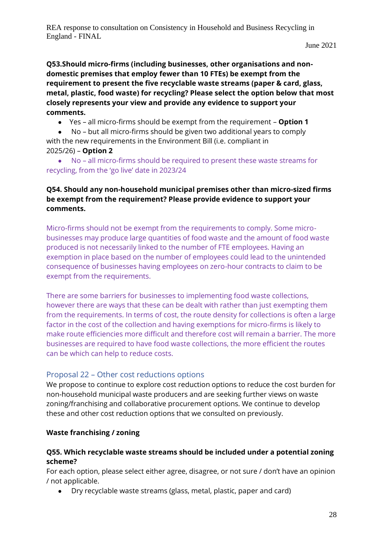June 2021

**Q53.Should micro-firms (including businesses, other organisations and nondomestic premises that employ fewer than 10 FTEs) be exempt from the requirement to present the five recyclable waste streams (paper & card, glass, metal, plastic, food waste) for recycling? Please select the option below that most closely represents your view and provide any evidence to support your comments.** 

● Yes – all micro-firms should be exempt from the requirement – **Option 1** 

● No – but all micro-firms should be given two additional years to comply with the new requirements in the Environment Bill (i.e. compliant in 2025/26) – **Option 2** 

● No – all micro-firms should be required to present these waste streams for recycling, from the 'go live' date in 2023/24

# **Q54. Should any non-household municipal premises other than micro-sized firms be exempt from the requirement? Please provide evidence to support your comments.**

Micro-firms should not be exempt from the requirements to comply. Some microbusinesses may produce large quantities of food waste and the amount of food waste produced is not necessarily linked to the number of FTE employees. Having an exemption in place based on the number of employees could lead to the unintended consequence of businesses having employees on zero-hour contracts to claim to be exempt from the requirements.

There are some barriers for businesses to implementing food waste collections, however there are ways that these can be dealt with rather than just exempting them from the requirements. In terms of cost, the route density for collections is often a large factor in the cost of the collection and having exemptions for micro-firms is likely to make route efficiencies more difficult and therefore cost will remain a barrier. The more businesses are required to have food waste collections, the more efficient the routes can be which can help to reduce costs.

# Proposal 22 – Other cost reductions options

We propose to continue to explore cost reduction options to reduce the cost burden for non-household municipal waste producers and are seeking further views on waste zoning/franchising and collaborative procurement options. We continue to develop these and other cost reduction options that we consulted on previously.

# **Waste franchising / zoning**

#### **Q55. Which recyclable waste streams should be included under a potential zoning scheme?**

For each option, please select either agree, disagree, or not sure / don't have an opinion / not applicable.

● Dry recyclable waste streams (glass, metal, plastic, paper and card)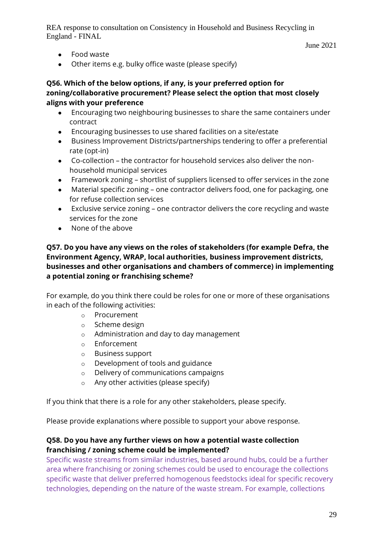June 2021

- Food waste
- Other items e.g. bulky office waste (please specify)

#### **Q56. Which of the below options, if any, is your preferred option for zoning/collaborative procurement? Please select the option that most closely aligns with your preference**

- Encouraging two neighbouring businesses to share the same containers under contract
- Encouraging businesses to use shared facilities on a site/estate
- Business Improvement Districts/partnerships tendering to offer a preferential rate (opt-in)
- Co-collection the contractor for household services also deliver the nonhousehold municipal services
- Framework zoning shortlist of suppliers licensed to offer services in the zone
- Material specific zoning one contractor delivers food, one for packaging, one for refuse collection services
- Exclusive service zoning one contractor delivers the core recycling and waste services for the zone
- None of the above

### **Q57. Do you have any views on the roles of stakeholders (for example Defra, the Environment Agency, WRAP, local authorities, business improvement districts, businesses and other organisations and chambers of commerce) in implementing a potential zoning or franchising scheme?**

For example, do you think there could be roles for one or more of these organisations in each of the following activities:

- o Procurement
- o Scheme design
- o Administration and day to day management
- o Enforcement
- o Business support
- o Development of tools and guidance
- o Delivery of communications campaigns
- o Any other activities (please specify)

If you think that there is a role for any other stakeholders, please specify.

Please provide explanations where possible to support your above response.

# **Q58. Do you have any further views on how a potential waste collection franchising / zoning scheme could be implemented?**

Specific waste streams from similar industries, based around hubs, could be a further area where franchising or zoning schemes could be used to encourage the collections specific waste that deliver preferred homogenous feedstocks ideal for specific recovery technologies, depending on the nature of the waste stream. For example, collections